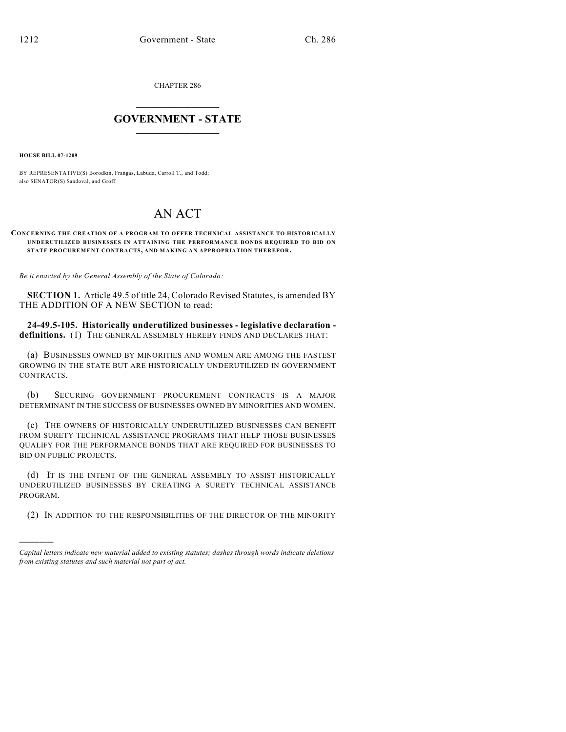CHAPTER 286

## $\mathcal{L}_\text{max}$  . The set of the set of the set of the set of the set of the set of the set of the set of the set of the set of the set of the set of the set of the set of the set of the set of the set of the set of the set **GOVERNMENT - STATE**  $\_$   $\_$   $\_$   $\_$   $\_$   $\_$   $\_$   $\_$   $\_$

**HOUSE BILL 07-1209**

)))))

BY REPRESENTATIVE(S) Borodkin, Frangas, Labuda, Carroll T., and Todd; also SENATOR(S) Sandoval, and Groff.

## AN ACT

## **CONCERNING THE CREATION OF A PROGRAM TO OFFER TECHNICAL ASSISTANCE TO HISTORICALLY UNDERUTILIZED BUSINESSES IN ATTAINING THE PERFORMANCE BONDS REQUIRED TO BID ON STATE PROCUREMENT CONTRACTS, AND MAKING AN APPROPRIATION THEREFOR.**

*Be it enacted by the General Assembly of the State of Colorado:*

**SECTION 1.** Article 49.5 of title 24, Colorado Revised Statutes, is amended BY THE ADDITION OF A NEW SECTION to read:

**24-49.5-105. Historically underutilized businesses - legislative declaration definitions.** (1) THE GENERAL ASSEMBLY HEREBY FINDS AND DECLARES THAT:

(a) BUSINESSES OWNED BY MINORITIES AND WOMEN ARE AMONG THE FASTEST GROWING IN THE STATE BUT ARE HISTORICALLY UNDERUTILIZED IN GOVERNMENT CONTRACTS.

(b) SECURING GOVERNMENT PROCUREMENT CONTRACTS IS A MAJOR DETERMINANT IN THE SUCCESS OF BUSINESSES OWNED BY MINORITIES AND WOMEN.

(c) THE OWNERS OF HISTORICALLY UNDERUTILIZED BUSINESSES CAN BENEFIT FROM SURETY TECHNICAL ASSISTANCE PROGRAMS THAT HELP THOSE BUSINESSES QUALIFY FOR THE PERFORMANCE BONDS THAT ARE REQUIRED FOR BUSINESSES TO BID ON PUBLIC PROJECTS.

(d) IT IS THE INTENT OF THE GENERAL ASSEMBLY TO ASSIST HISTORICALLY UNDERUTILIZED BUSINESSES BY CREATING A SURETY TECHNICAL ASSISTANCE PROGRAM.

(2) IN ADDITION TO THE RESPONSIBILITIES OF THE DIRECTOR OF THE MINORITY

*Capital letters indicate new material added to existing statutes; dashes through words indicate deletions from existing statutes and such material not part of act.*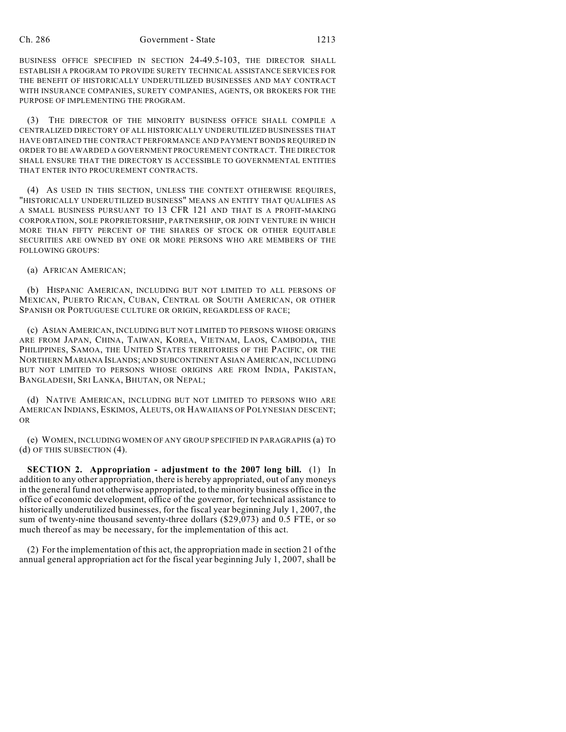BUSINESS OFFICE SPECIFIED IN SECTION 24-49.5-103, THE DIRECTOR SHALL ESTABLISH A PROGRAM TO PROVIDE SURETY TECHNICAL ASSISTANCE SERVICES FOR THE BENEFIT OF HISTORICALLY UNDERUTILIZED BUSINESSES AND MAY CONTRACT WITH INSURANCE COMPANIES, SURETY COMPANIES, AGENTS, OR BROKERS FOR THE PURPOSE OF IMPLEMENTING THE PROGRAM.

(3) THE DIRECTOR OF THE MINORITY BUSINESS OFFICE SHALL COMPILE A CENTRALIZED DIRECTORY OF ALL HISTORICALLY UNDERUTILIZED BUSINESSES THAT HAVE OBTAINED THE CONTRACT PERFORMANCE AND PAYMENT BONDS REQUIRED IN ORDER TO BE AWARDED A GOVERNMENT PROCUREMENT CONTRACT. THE DIRECTOR SHALL ENSURE THAT THE DIRECTORY IS ACCESSIBLE TO GOVERNMENTAL ENTITIES THAT ENTER INTO PROCUREMENT CONTRACTS.

(4) AS USED IN THIS SECTION, UNLESS THE CONTEXT OTHERWISE REQUIRES, "HISTORICALLY UNDERUTILIZED BUSINESS" MEANS AN ENTITY THAT QUALIFIES AS A SMALL BUSINESS PURSUANT TO 13 CFR 121 AND THAT IS A PROFIT-MAKING CORPORATION, SOLE PROPRIETORSHIP, PARTNERSHIP, OR JOINT VENTURE IN WHICH MORE THAN FIFTY PERCENT OF THE SHARES OF STOCK OR OTHER EQUITABLE SECURITIES ARE OWNED BY ONE OR MORE PERSONS WHO ARE MEMBERS OF THE FOLLOWING GROUPS:

(a) AFRICAN AMERICAN;

(b) HISPANIC AMERICAN, INCLUDING BUT NOT LIMITED TO ALL PERSONS OF MEXICAN, PUERTO RICAN, CUBAN, CENTRAL OR SOUTH AMERICAN, OR OTHER SPANISH OR PORTUGUESE CULTURE OR ORIGIN, REGARDLESS OF RACE;

(c) ASIAN AMERICAN, INCLUDING BUT NOT LIMITED TO PERSONS WHOSE ORIGINS ARE FROM JAPAN, CHINA, TAIWAN, KOREA, VIETNAM, LAOS, CAMBODIA, THE PHILIPPINES, SAMOA, THE UNITED STATES TERRITORIES OF THE PACIFIC, OR THE NORTHERN MARIANA ISLANDS; AND SUBCONTINENT ASIAN AMERICAN, INCLUDING BUT NOT LIMITED TO PERSONS WHOSE ORIGINS ARE FROM INDIA, PAKISTAN, BANGLADESH, SRI LANKA, BHUTAN, OR NEPAL;

(d) NATIVE AMERICAN, INCLUDING BUT NOT LIMITED TO PERSONS WHO ARE AMERICAN INDIANS, ESKIMOS, ALEUTS, OR HAWAIIANS OF POLYNESIAN DESCENT; OR

(e) WOMEN, INCLUDING WOMEN OF ANY GROUP SPECIFIED IN PARAGRAPHS (a) TO (d) OF THIS SUBSECTION (4).

**SECTION 2. Appropriation - adjustment to the 2007 long bill.** (1) In addition to any other appropriation, there is hereby appropriated, out of any moneys in the general fund not otherwise appropriated, to the minority business office in the office of economic development, office of the governor, for technical assistance to historically underutilized businesses, for the fiscal year beginning July 1, 2007, the sum of twenty-nine thousand seventy-three dollars (\$29,073) and 0.5 FTE, or so much thereof as may be necessary, for the implementation of this act.

(2) For the implementation of this act, the appropriation made in section 21 of the annual general appropriation act for the fiscal year beginning July 1, 2007, shall be